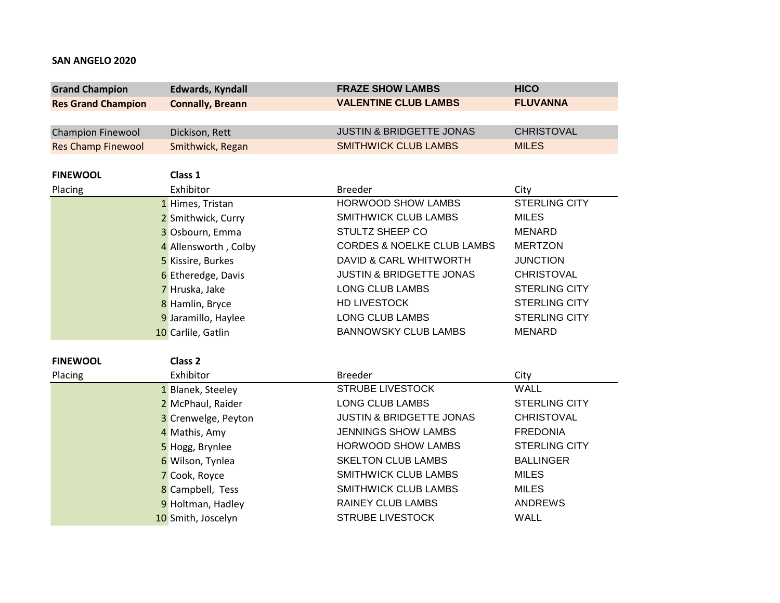## **SAN ANGELO 2020**

| <b>Grand Champion</b>     | <b>Edwards, Kyndall</b> | <b>FRAZE SHOW LAMBS</b>               | <b>HICO</b>          |
|---------------------------|-------------------------|---------------------------------------|----------------------|
| <b>Res Grand Champion</b> | <b>Connally, Breann</b> | <b>VALENTINE CLUB LAMBS</b>           | <b>FLUVANNA</b>      |
|                           |                         |                                       |                      |
| <b>Champion Finewool</b>  | Dickison, Rett          | <b>JUSTIN &amp; BRIDGETTE JONAS</b>   | <b>CHRISTOVAL</b>    |
| <b>Res Champ Finewool</b> | Smithwick, Regan        | <b>SMITHWICK CLUB LAMBS</b>           | <b>MILES</b>         |
|                           |                         |                                       |                      |
| <b>FINEWOOL</b>           | Class 1                 |                                       |                      |
| Placing                   | Exhibitor               | <b>Breeder</b>                        | City                 |
|                           | 1 Himes, Tristan        | <b>HORWOOD SHOW LAMBS</b>             | <b>STERLING CITY</b> |
|                           | 2 Smithwick, Curry      | SMITHWICK CLUB LAMBS                  | <b>MILES</b>         |
|                           | 3 Osbourn, Emma         | <b>STULTZ SHEEP CO</b>                | <b>MENARD</b>        |
|                           | 4 Allensworth, Colby    | <b>CORDES &amp; NOELKE CLUB LAMBS</b> | <b>MERTZON</b>       |
|                           | 5 Kissire, Burkes       | DAVID & CARL WHITWORTH                | <b>JUNCTION</b>      |
|                           | 6 Etheredge, Davis      | <b>JUSTIN &amp; BRIDGETTE JONAS</b>   | <b>CHRISTOVAL</b>    |
|                           | 7 Hruska, Jake          | <b>LONG CLUB LAMBS</b>                | <b>STERLING CITY</b> |
|                           | 8 Hamlin, Bryce         | <b>HD LIVESTOCK</b>                   | <b>STERLING CITY</b> |
|                           | 9 Jaramillo, Haylee     | <b>LONG CLUB LAMBS</b>                | <b>STERLING CITY</b> |
|                           | 10 Carlile, Gatlin      | <b>BANNOWSKY CLUB LAMBS</b>           | <b>MENARD</b>        |
|                           |                         |                                       |                      |
| <b>FINEWOOL</b>           | Class <sub>2</sub>      |                                       |                      |
| Placing                   | Exhibitor               | <b>Breeder</b>                        | City                 |
|                           | 1 Blanek, Steeley       | <b>STRUBE LIVESTOCK</b>               | <b>WALL</b>          |
|                           | 2 McPhaul, Raider       | <b>LONG CLUB LAMBS</b>                | <b>STERLING CITY</b> |
|                           | 3 Crenwelge, Peyton     | <b>JUSTIN &amp; BRIDGETTE JONAS</b>   | <b>CHRISTOVAL</b>    |
|                           | 4 Mathis, Amy           | <b>JENNINGS SHOW LAMBS</b>            | <b>FREDONIA</b>      |
|                           | 5 Hogg, Brynlee         | <b>HORWOOD SHOW LAMBS</b>             | <b>STERLING CITY</b> |
|                           | 6 Wilson, Tynlea        | <b>SKELTON CLUB LAMBS</b>             | <b>BALLINGER</b>     |
|                           | 7 Cook, Royce           | SMITHWICK CLUB LAMBS                  | <b>MILES</b>         |
|                           | 8 Campbell, Tess        | SMITHWICK CLUB LAMBS                  | <b>MILES</b>         |
|                           | 9 Holtman, Hadley       | <b>RAINEY CLUB LAMBS</b>              | <b>ANDREWS</b>       |
|                           | 10 Smith, Joscelyn      | <b>STRUBE LIVESTOCK</b>               | <b>WALL</b>          |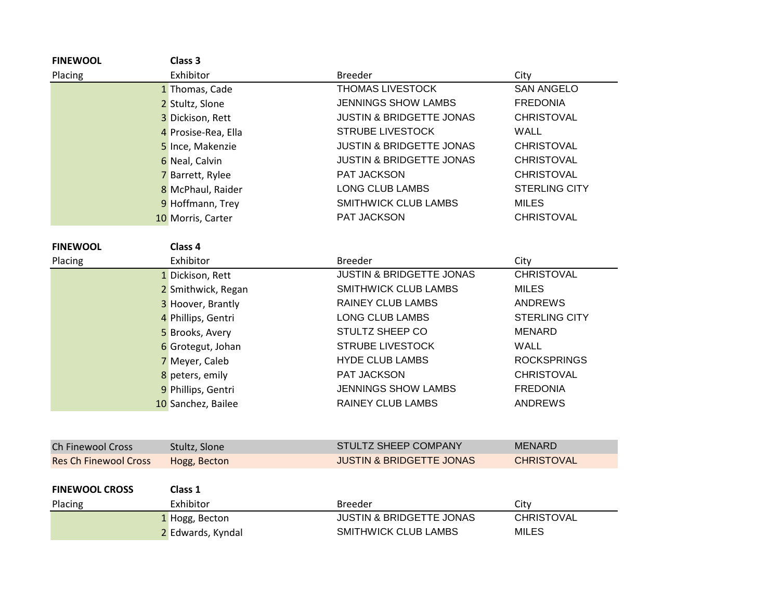| Class 3<br><b>FINEWOOL</b>                   |                                     |                      |
|----------------------------------------------|-------------------------------------|----------------------|
| Exhibitor<br>Placing                         | <b>Breeder</b>                      | City                 |
| 1 Thomas, Cade                               | <b>THOMAS LIVESTOCK</b>             | <b>SAN ANGELO</b>    |
| 2 Stultz, Slone                              | <b>JENNINGS SHOW LAMBS</b>          | <b>FREDONIA</b>      |
| 3 Dickison, Rett                             | <b>JUSTIN &amp; BRIDGETTE JONAS</b> | <b>CHRISTOVAL</b>    |
| 4 Prosise-Rea, Ella                          | <b>STRUBE LIVESTOCK</b>             | <b>WALL</b>          |
| 5 Ince, Makenzie                             | <b>JUSTIN &amp; BRIDGETTE JONAS</b> | <b>CHRISTOVAL</b>    |
| 6 Neal, Calvin                               | <b>JUSTIN &amp; BRIDGETTE JONAS</b> | <b>CHRISTOVAL</b>    |
| 7 Barrett, Rylee                             | PAT JACKSON                         | <b>CHRISTOVAL</b>    |
| 8 McPhaul, Raider                            | LONG CLUB LAMBS                     | <b>STERLING CITY</b> |
| 9 Hoffmann, Trey                             | <b>SMITHWICK CLUB LAMBS</b>         | <b>MILES</b>         |
| 10 Morris, Carter                            | PAT JACKSON                         | <b>CHRISTOVAL</b>    |
| Class 4<br><b>FINEWOOL</b>                   |                                     |                      |
| Exhibitor<br>Placing                         | <b>Breeder</b>                      | City                 |
| 1 Dickison, Rett                             | <b>JUSTIN &amp; BRIDGETTE JONAS</b> | <b>CHRISTOVAL</b>    |
| 2 Smithwick, Regan                           | <b>SMITHWICK CLUB LAMBS</b>         | <b>MILES</b>         |
| 3 Hoover, Brantly                            | <b>RAINEY CLUB LAMBS</b>            | <b>ANDREWS</b>       |
| 4 Phillips, Gentri                           | <b>LONG CLUB LAMBS</b>              | <b>STERLING CITY</b> |
| 5 Brooks, Avery                              | STULTZ SHEEP CO                     | <b>MENARD</b>        |
| 6 Grotegut, Johan                            | <b>STRUBE LIVESTOCK</b>             | <b>WALL</b>          |
| 7 Meyer, Caleb                               | <b>HYDE CLUB LAMBS</b>              | <b>ROCKSPRINGS</b>   |
| 8 peters, emily                              | PAT JACKSON                         | <b>CHRISTOVAL</b>    |
| 9 Phillips, Gentri                           | <b>JENNINGS SHOW LAMBS</b>          | <b>FREDONIA</b>      |
| 10 Sanchez, Bailee                           | <b>RAINEY CLUB LAMBS</b>            | <b>ANDREWS</b>       |
|                                              |                                     |                      |
| Ch Finewool Cross<br>Stultz, Slone           | STULTZ SHEEP COMPANY                | <b>MENARD</b>        |
| <b>Res Ch Finewool Cross</b><br>Hogg, Becton | <b>JUSTIN &amp; BRIDGETTE JONAS</b> | <b>CHRISTOVAL</b>    |
| Class 1<br><b>FINEWOOL CROSS</b>             |                                     |                      |
| Exhibitor<br>Placing                         | <b>Breeder</b>                      | City                 |
| 1 Hogg, Becton                               | <b>JUSTIN &amp; BRIDGETTE JONAS</b> | <b>CHRISTOVAL</b>    |
| 2 Edwards, Kyndal                            |                                     |                      |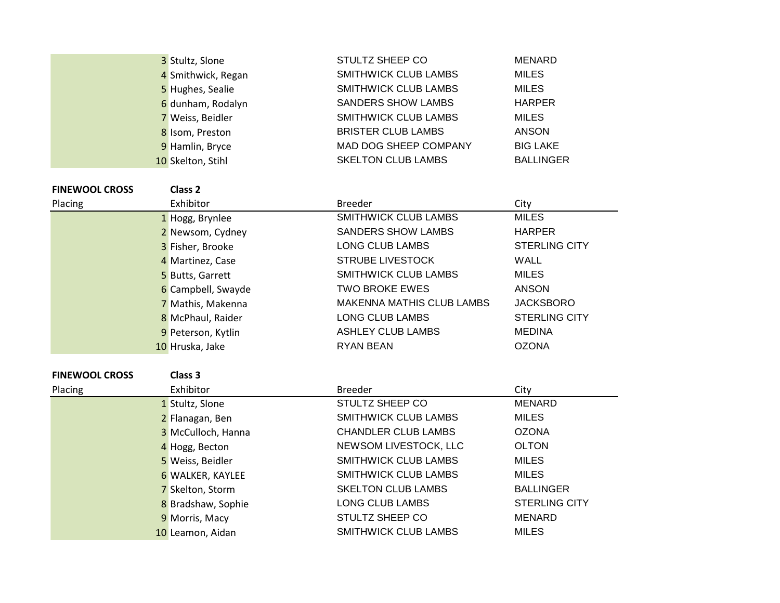|                       | 3 Stultz, Slone    | STULTZ SHEEP CO             | <b>MENARD</b>        |
|-----------------------|--------------------|-----------------------------|----------------------|
|                       | 4 Smithwick, Regan | <b>SMITHWICK CLUB LAMBS</b> | <b>MILES</b>         |
|                       | 5 Hughes, Sealie   | SMITHWICK CLUB LAMBS        | <b>MILES</b>         |
|                       | 6 dunham, Rodalyn  | <b>SANDERS SHOW LAMBS</b>   | <b>HARPER</b>        |
|                       | 7 Weiss, Beidler   | <b>SMITHWICK CLUB LAMBS</b> | <b>MILES</b>         |
|                       | 8 Isom, Preston    | <b>BRISTER CLUB LAMBS</b>   | <b>ANSON</b>         |
|                       | 9 Hamlin, Bryce    | MAD DOG SHEEP COMPANY       | <b>BIG LAKE</b>      |
|                       | 10 Skelton, Stihl  | <b>SKELTON CLUB LAMBS</b>   | <b>BALLINGER</b>     |
|                       |                    |                             |                      |
| <b>FINEWOOL CROSS</b> | Class <sub>2</sub> |                             |                      |
| Placing               | Exhibitor          | <b>Breeder</b>              | City                 |
|                       | 1 Hogg, Brynlee    | SMITHWICK CLUB LAMBS        | <b>MILES</b>         |
|                       | 2 Newsom, Cydney   | <b>SANDERS SHOW LAMBS</b>   | <b>HARPER</b>        |
|                       | 3 Fisher, Brooke   | <b>LONG CLUB LAMBS</b>      | <b>STERLING CITY</b> |
|                       | 4 Martinez, Case   | <b>STRUBE LIVESTOCK</b>     | <b>WALL</b>          |
|                       | 5 Butts, Garrett   | <b>SMITHWICK CLUB LAMBS</b> | <b>MILES</b>         |
|                       | 6 Campbell, Swayde | <b>TWO BROKE EWES</b>       | <b>ANSON</b>         |
|                       | 7 Mathis, Makenna  | MAKENNA MATHIS CLUB LAMBS   | <b>JACKSBORO</b>     |
|                       | 8 McPhaul, Raider  | <b>LONG CLUB LAMBS</b>      | <b>STERLING CITY</b> |
|                       | 9 Peterson, Kytlin | <b>ASHLEY CLUB LAMBS</b>    | <b>MEDINA</b>        |
|                       | 10 Hruska, Jake    | <b>RYAN BEAN</b>            | <b>OZONA</b>         |
|                       |                    |                             |                      |
| <b>FINEWOOL CROSS</b> | Class 3            |                             |                      |
| Placing               | Exhibitor          | <b>Breeder</b>              | City                 |
|                       | 1 Stultz, Slone    | STULTZ SHEEP CO             | <b>MENARD</b>        |
|                       | 2 Flanagan, Ben    | SMITHWICK CLUB LAMBS        | <b>MILES</b>         |
|                       | 3 McCulloch, Hanna | <b>CHANDLER CLUB LAMBS</b>  | <b>OZONA</b>         |
|                       | 4 Hogg, Becton     | NEWSOM LIVESTOCK, LLC       | <b>OLTON</b>         |
|                       | 5 Weiss, Beidler   | SMITHWICK CLUB LAMBS        | <b>MILES</b>         |
|                       | 6 WALKER, KAYLEE   | <b>SMITHWICK CLUB LAMBS</b> | <b>MILES</b>         |
|                       | 7 Skelton, Storm   | <b>SKELTON CLUB LAMBS</b>   | <b>BALLINGER</b>     |
|                       | 8 Bradshaw, Sophie | <b>LONG CLUB LAMBS</b>      | STERLING CITY        |
|                       | 9 Morris, Macy     | STULTZ SHEEP CO             | <b>MENARD</b>        |
|                       | 10 Leamon, Aidan   | <b>SMITHWICK CLUB LAMBS</b> | <b>MILES</b>         |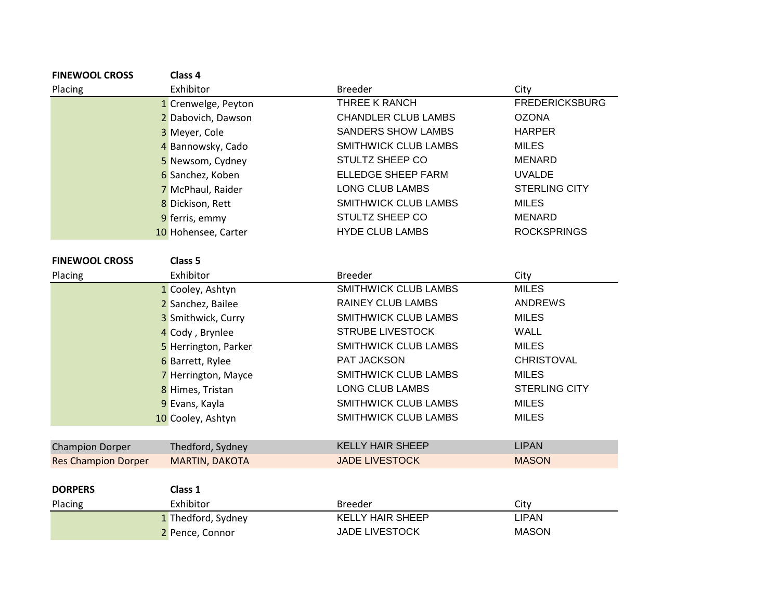| <b>FINEWOOL CROSS</b>      | Class 4               |                             |                       |
|----------------------------|-----------------------|-----------------------------|-----------------------|
| Placing                    | Exhibitor             | <b>Breeder</b>              | City                  |
|                            | 1 Crenwelge, Peyton   | THREE K RANCH               | <b>FREDERICKSBURG</b> |
|                            | 2 Dabovich, Dawson    | <b>CHANDLER CLUB LAMBS</b>  | <b>OZONA</b>          |
|                            | 3 Meyer, Cole         | <b>SANDERS SHOW LAMBS</b>   | <b>HARPER</b>         |
|                            | 4 Bannowsky, Cado     | <b>SMITHWICK CLUB LAMBS</b> | <b>MILES</b>          |
|                            | 5 Newsom, Cydney      | STULTZ SHEEP CO             | <b>MENARD</b>         |
|                            | 6 Sanchez, Koben      | <b>ELLEDGE SHEEP FARM</b>   | <b>UVALDE</b>         |
|                            | 7 McPhaul, Raider     | <b>LONG CLUB LAMBS</b>      | <b>STERLING CITY</b>  |
|                            | 8 Dickison, Rett      | <b>SMITHWICK CLUB LAMBS</b> | <b>MILES</b>          |
|                            | 9 ferris, emmy        | STULTZ SHEEP CO             | <b>MENARD</b>         |
|                            | 10 Hohensee, Carter   | <b>HYDE CLUB LAMBS</b>      | <b>ROCKSPRINGS</b>    |
|                            |                       |                             |                       |
| <b>FINEWOOL CROSS</b>      | Class 5               |                             |                       |
| Placing                    | Exhibitor             | <b>Breeder</b>              | City                  |
|                            | 1 Cooley, Ashtyn      | <b>SMITHWICK CLUB LAMBS</b> | <b>MILES</b>          |
|                            | 2 Sanchez, Bailee     | <b>RAINEY CLUB LAMBS</b>    | <b>ANDREWS</b>        |
|                            | 3 Smithwick, Curry    | <b>SMITHWICK CLUB LAMBS</b> | <b>MILES</b>          |
|                            | 4 Cody, Brynlee       | <b>STRUBE LIVESTOCK</b>     | <b>WALL</b>           |
|                            | 5 Herrington, Parker  | <b>SMITHWICK CLUB LAMBS</b> | <b>MILES</b>          |
|                            | 6 Barrett, Rylee      | PAT JACKSON                 | <b>CHRISTOVAL</b>     |
|                            | 7 Herrington, Mayce   | <b>SMITHWICK CLUB LAMBS</b> | <b>MILES</b>          |
|                            | 8 Himes, Tristan      | <b>LONG CLUB LAMBS</b>      | <b>STERLING CITY</b>  |
|                            | 9 Evans, Kayla        | <b>SMITHWICK CLUB LAMBS</b> | <b>MILES</b>          |
|                            | 10 Cooley, Ashtyn     | SMITHWICK CLUB LAMBS        | <b>MILES</b>          |
|                            |                       |                             |                       |
| <b>Champion Dorper</b>     | Thedford, Sydney      | <b>KELLY HAIR SHEEP</b>     | <b>LIPAN</b>          |
| <b>Res Champion Dorper</b> | <b>MARTIN, DAKOTA</b> | <b>JADE LIVESTOCK</b>       | <b>MASON</b>          |
|                            |                       |                             |                       |
| <b>DORPERS</b>             | Class 1               |                             |                       |
| Placing                    | Exhibitor             | <b>Breeder</b>              | City                  |
|                            | 1 Thedford, Sydney    | <b>KELLY HAIR SHEEP</b>     | <b>LIPAN</b>          |
|                            | 2 Pence, Connor       | <b>JADE LIVESTOCK</b>       | <b>MASON</b>          |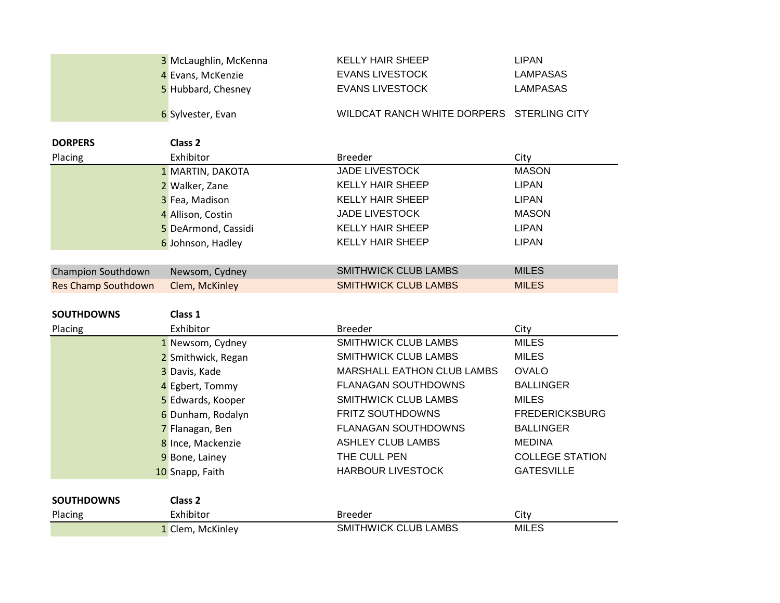|                            | 3 McLaughlin, McKenna | <b>KELLY HAIR SHEEP</b>                   | <b>LIPAN</b>           |
|----------------------------|-----------------------|-------------------------------------------|------------------------|
|                            | 4 Evans, McKenzie     | <b>EVANS LIVESTOCK</b>                    | <b>LAMPASAS</b>        |
|                            | 5 Hubbard, Chesney    | <b>EVANS LIVESTOCK</b>                    | <b>LAMPASAS</b>        |
|                            |                       |                                           |                        |
|                            | 6 Sylvester, Evan     | WILDCAT RANCH WHITE DORPERS STERLING CITY |                        |
|                            |                       |                                           |                        |
| <b>DORPERS</b>             | Class <sub>2</sub>    |                                           |                        |
| Placing                    | Exhibitor             | <b>Breeder</b>                            | City                   |
|                            | 1 MARTIN, DAKOTA      | <b>JADE LIVESTOCK</b>                     | <b>MASON</b>           |
|                            | 2 Walker, Zane        | <b>KELLY HAIR SHEEP</b>                   | <b>LIPAN</b>           |
|                            | 3 Fea, Madison        | <b>KELLY HAIR SHEEP</b>                   | <b>LIPAN</b>           |
|                            | 4 Allison, Costin     | <b>JADE LIVESTOCK</b>                     | <b>MASON</b>           |
|                            | 5 DeArmond, Cassidi   | <b>KELLY HAIR SHEEP</b>                   | <b>LIPAN</b>           |
|                            | 6 Johnson, Hadley     | <b>KELLY HAIR SHEEP</b>                   | <b>LIPAN</b>           |
|                            |                       |                                           |                        |
| Champion Southdown         | Newsom, Cydney        | <b>SMITHWICK CLUB LAMBS</b>               | <b>MILES</b>           |
| <b>Res Champ Southdown</b> | Clem, McKinley        | <b>SMITHWICK CLUB LAMBS</b>               | <b>MILES</b>           |
|                            |                       |                                           |                        |
| <b>SOUTHDOWNS</b>          | Class 1               |                                           |                        |
| Placing                    | Exhibitor             | <b>Breeder</b>                            | City                   |
|                            | 1 Newsom, Cydney      | <b>SMITHWICK CLUB LAMBS</b>               | <b>MILES</b>           |
|                            | 2 Smithwick, Regan    | <b>SMITHWICK CLUB LAMBS</b>               | <b>MILES</b>           |
|                            | 3 Davis, Kade         | <b>MARSHALL EATHON CLUB LAMBS</b>         | <b>OVALO</b>           |
|                            | 4 Egbert, Tommy       | <b>FLANAGAN SOUTHDOWNS</b>                | <b>BALLINGER</b>       |
|                            | 5 Edwards, Kooper     | SMITHWICK CLUB LAMBS                      | <b>MILES</b>           |
|                            | 6 Dunham, Rodalyn     | FRITZ SOUTHDOWNS                          | <b>FREDERICKSBURG</b>  |
|                            | 7 Flanagan, Ben       | <b>FLANAGAN SOUTHDOWNS</b>                | <b>BALLINGER</b>       |
|                            | 8 Ince, Mackenzie     | <b>ASHLEY CLUB LAMBS</b>                  | <b>MEDINA</b>          |
|                            | 9 Bone, Lainey        | THE CULL PEN                              | <b>COLLEGE STATION</b> |
|                            | 10 Snapp, Faith       | <b>HARBOUR LIVESTOCK</b>                  | <b>GATESVILLE</b>      |
|                            |                       |                                           |                        |
| <b>SOUTHDOWNS</b>          | Class <sub>2</sub>    |                                           |                        |
| Placing                    | Exhibitor             | <b>Breeder</b>                            | City                   |
|                            | 1 Clem, McKinley      | <b>SMITHWICK CLUB LAMBS</b>               | <b>MILES</b>           |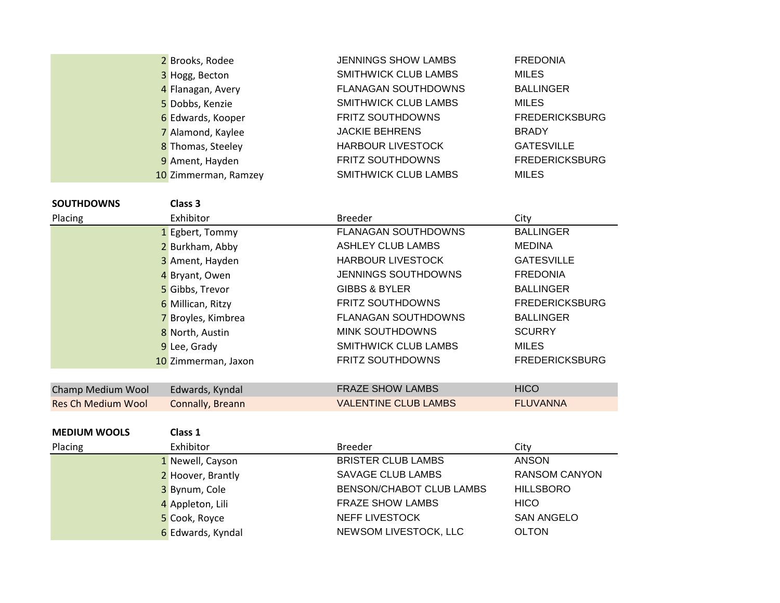| 2 Brooks, Rodee      | <b>JENNINGS SHOW LAMBS</b>  | <b>FREDONIA</b>       |
|----------------------|-----------------------------|-----------------------|
| 3 Hogg, Becton       | <b>SMITHWICK CLUB LAMBS</b> | <b>MILES</b>          |
| 4 Flanagan, Avery    | <b>FLANAGAN SOUTHDOWNS</b>  | <b>BALLINGER</b>      |
| 5 Dobbs, Kenzie      | <b>SMITHWICK CLUB LAMBS</b> | <b>MILES</b>          |
| 6 Edwards, Kooper    | <b>FRITZ SOUTHDOWNS</b>     | <b>FREDERICKSBURG</b> |
| 7 Alamond, Kaylee    | <b>JACKIE BEHRENS</b>       | <b>BRADY</b>          |
| 8 Thomas, Steeley    | <b>HARBOUR LIVESTOCK</b>    | <b>GATESVILLE</b>     |
| 9 Ament, Hayden      | <b>FRITZ SOUTHDOWNS</b>     | <b>FREDERICKSBURG</b> |
| 10 Zimmerman, Ramzey | <b>SMITHWICK CLUB LAMBS</b> | <b>MILES</b>          |

| <b>SOUTHDOWNS</b>         | Class 3             |                             |                       |
|---------------------------|---------------------|-----------------------------|-----------------------|
| Placing                   | Exhibitor           | <b>Breeder</b>              | City                  |
|                           | 1 Egbert, Tommy     | <b>FLANAGAN SOUTHDOWNS</b>  | <b>BALLINGER</b>      |
|                           | 2 Burkham, Abby     | <b>ASHLEY CLUB LAMBS</b>    | <b>MEDINA</b>         |
|                           | 3 Ament, Hayden     | <b>HARBOUR LIVESTOCK</b>    | <b>GATESVILLE</b>     |
|                           | 4 Bryant, Owen      | <b>JENNINGS SOUTHDOWNS</b>  | <b>FREDONIA</b>       |
|                           | 5 Gibbs, Trevor     | <b>GIBBS &amp; BYLER</b>    | <b>BALLINGER</b>      |
|                           | 6 Millican, Ritzy   | <b>FRITZ SOUTHDOWNS</b>     | <b>FREDERICKSBURG</b> |
|                           | 7 Broyles, Kimbrea  | <b>FLANAGAN SOUTHDOWNS</b>  | <b>BALLINGER</b>      |
|                           | 8 North, Austin     | <b>MINK SOUTHDOWNS</b>      | <b>SCURRY</b>         |
|                           | 9 Lee, Grady        | <b>SMITHWICK CLUB LAMBS</b> | <b>MILES</b>          |
|                           | 10 Zimmerman, Jaxon | <b>FRITZ SOUTHDOWNS</b>     | <b>FREDERICKSBURG</b> |
|                           |                     |                             |                       |
| Champ Medium Wool         | Edwards, Kyndal     | <b>FRAZE SHOW LAMBS</b>     | <b>HICO</b>           |
| <b>Res Ch Medium Wool</b> | Connally, Breann    | <b>VALENTINE CLUB LAMBS</b> | <b>FLUVANNA</b>       |

| <b>MEDIUM WOOLS</b> | Class 1           |                           |                      |
|---------------------|-------------------|---------------------------|----------------------|
| Placing             | Exhibitor         | <b>Breeder</b>            | City                 |
|                     | 1 Newell, Cayson  | <b>BRISTER CLUB LAMBS</b> | <b>ANSON</b>         |
|                     | 2 Hoover, Brantly | <b>SAVAGE CLUB LAMBS</b>  | <b>RANSOM CANYON</b> |
|                     | 3 Bynum, Cole     | BENSON/CHABOT CLUB LAMBS  | <b>HILLSBORO</b>     |
|                     | 4 Appleton, Lili  | <b>FRAZE SHOW LAMBS</b>   | <b>HICO</b>          |
|                     | 5 Cook, Royce     | <b>NEFF LIVESTOCK</b>     | <b>SAN ANGELO</b>    |
|                     | 6 Edwards, Kyndal | NEWSOM LIVESTOCK, LLC     | <b>OLTON</b>         |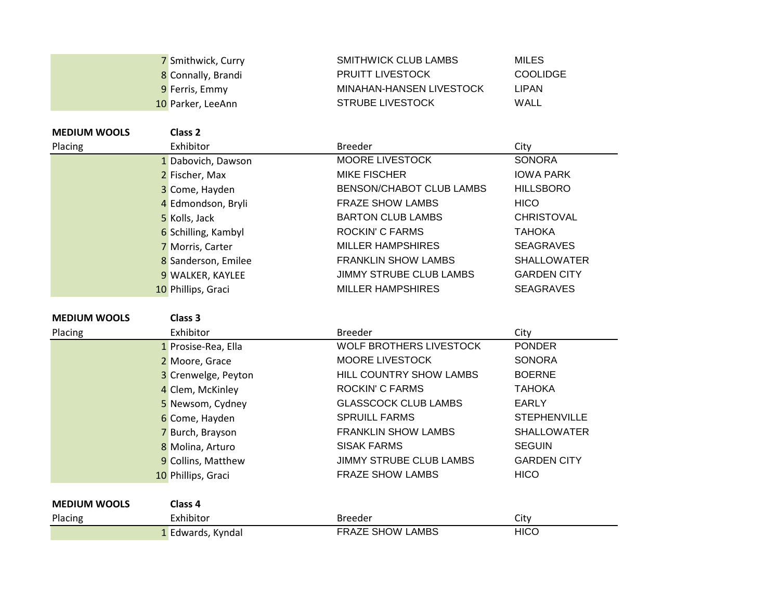|  | 7 Smithwick, Curry | SMITHWICK CLUB LAMBS     | <b>MILES</b>    |
|--|--------------------|--------------------------|-----------------|
|  | 8 Connally, Brandi | <b>PRUITT LIVESTOCK</b>  | <b>COOLIDGE</b> |
|  | 9 Ferris, Emmy     | MINAHAN-HANSEN LIVESTOCK | ∟IPAN.          |
|  | 10 Parker, LeeAnn  | <b>STRUBE LIVESTOCK</b>  | WALL            |

| <b>MEDIUM WOOLS</b> | Class 2             |                                |                    |
|---------------------|---------------------|--------------------------------|--------------------|
| Placing             | Exhibitor           | <b>Breeder</b>                 | City               |
|                     | 1 Dabovich, Dawson  | <b>MOORE LIVESTOCK</b>         | <b>SONORA</b>      |
|                     | 2 Fischer, Max      | <b>MIKE FISCHER</b>            | <b>IOWA PARK</b>   |
|                     | 3 Come, Hayden      | BENSON/CHABOT CLUB LAMBS       | <b>HILLSBORO</b>   |
|                     | 4 Edmondson, Bryli  | <b>FRAZE SHOW LAMBS</b>        | <b>HICO</b>        |
|                     | 5 Kolls, Jack       | <b>BARTON CLUB LAMBS</b>       | <b>CHRISTOVAL</b>  |
|                     | 6 Schilling, Kambyl | ROCKIN' C FARMS                | <b>TAHOKA</b>      |
|                     | 7 Morris, Carter    | <b>MILLER HAMPSHIRES</b>       | <b>SEAGRAVES</b>   |
|                     | 8 Sanderson, Emilee | <b>FRANKLIN SHOW LAMBS</b>     | <b>SHALLOWATER</b> |
|                     | 9 WALKER, KAYLEE    | <b>JIMMY STRUBE CLUB LAMBS</b> | <b>GARDEN CITY</b> |
|                     | 10 Phillips, Graci  | <b>MILLER HAMPSHIRES</b>       | <b>SEAGRAVES</b>   |

## **MEDIUM WOOLS Class 3**

| Placing             | Exhibitor           | <b>Breeder</b>                 | City                |
|---------------------|---------------------|--------------------------------|---------------------|
|                     | 1 Prosise-Rea, Ella | <b>WOLF BROTHERS LIVESTOCK</b> | <b>PONDER</b>       |
|                     | 2 Moore, Grace      | <b>MOORE LIVESTOCK</b>         | <b>SONORA</b>       |
|                     | 3 Crenwelge, Peyton | <b>HILL COUNTRY SHOW LAMBS</b> | <b>BOERNE</b>       |
|                     | 4 Clem, McKinley    | ROCKIN' C FARMS                | ТАНОКА              |
|                     | 5 Newsom, Cydney    | <b>GLASSCOCK CLUB LAMBS</b>    | EARLY               |
|                     | 6 Come, Hayden      | <b>SPRUILL FARMS</b>           | <b>STEPHENVILLE</b> |
|                     | 7 Burch, Brayson    | <b>FRANKLIN SHOW LAMBS</b>     | <b>SHALLOWATER</b>  |
|                     | 8 Molina, Arturo    | <b>SISAK FARMS</b>             | <b>SEGUIN</b>       |
|                     | 9 Collins, Matthew  | <b>JIMMY STRUBE CLUB LAMBS</b> | <b>GARDEN CITY</b>  |
|                     | 10 Phillips, Graci  | <b>FRAZE SHOW LAMBS</b>        | <b>HICO</b>         |
|                     |                     |                                |                     |
| <b>MEDIUM WOOLS</b> | Class 4             |                                |                     |

| Placing | $\overline{\phantom{a}}$<br>וסזומור. | וכ            | City       |
|---------|--------------------------------------|---------------|------------|
|         | Kyndal<br>dwards                     | AMBS<br>SHOW. | HICC<br>__ |